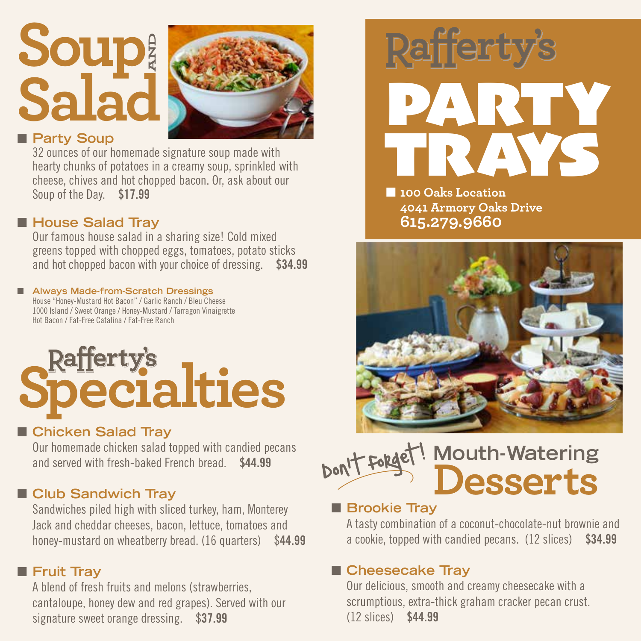## **Soup Salad AND**



#### **n** Party Soup

32 ounces of our homemade signature soup made with hearty chunks of potatoes in a creamy soup, sprinkled with cheese, chives and hot chopped bacon. Or, ask about our Soup of the Day. \$17.99

#### ■ House Salad Tray

Our famous house salad in a sharing size! Cold mixed greens topped with chopped eggs, tomatoes, potato sticks and hot chopped bacon with your choice of dressing. \$34.99

#### ■ Always Made-from-Scratch Dressings House "Honey-Mustard Hot Bacon" / Garlic Ranch / Bleu Cheese

1000 Island / Sweet Orange / Honey-Mustard / Tarragon Vinaigrette Hot Bacon / Fat-Free Catalina / Fat-Free Ranch

# **Rafferty's**<br>Declalties

#### ■ Chicken Salad Tray

Our homemade chicken salad topped with candied pecans and served with fresh-baked French bread. \$44.99

#### **n** Club Sandwich Tray

Sandwiches piled high with sliced turkey, ham, Monterey Jack and cheddar cheeses, bacon, lettuce, tomatoes and honey-mustard on wheatberry bread. (16 quarters) \$44.99

#### **n** Fruit Tray

A blend of fresh fruits and melons (strawberries, cantaloupe, honey dew and red grapes). Served with our signature sweet orange dressing. \$37.99



**n** 100 Oaks Location **4041 Armory Oaks Drive 615.279.9660**



#### **Mouth-Watering Desserts** Don't forget!  $\overline{\phantom{a}}$

#### **n** Brookie Tray

A tasty combination of a coconut-chocolate-nut brownie and a cookie, topped with candied pecans. (12 slices) \$34.99

#### ■ Cheesecake Tray

Our delicious, smooth and creamy cheesecake with a scrumptious, extra-thick graham cracker pecan crust. (12 slices) \$44.99